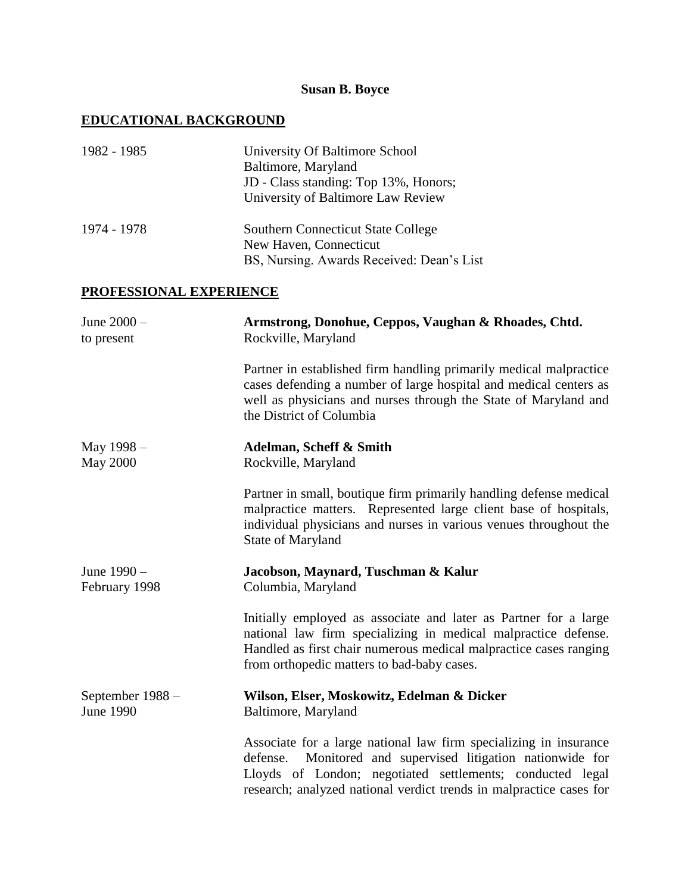## **Susan B. Boyce**

## **EDUCATIONAL BACKGROUND**

| 1982 - 1985                          | University Of Baltimore School<br>Baltimore, Maryland<br>JD - Class standing: Top 13%, Honors;<br>University of Baltimore Law Review                                                                                                                                    |
|--------------------------------------|-------------------------------------------------------------------------------------------------------------------------------------------------------------------------------------------------------------------------------------------------------------------------|
| 1974 - 1978                          | <b>Southern Connecticut State College</b><br>New Haven, Connecticut<br>BS, Nursing. Awards Received: Dean's List                                                                                                                                                        |
| <b>PROFESSIONAL EXPERIENCE</b>       |                                                                                                                                                                                                                                                                         |
| June 2000 -<br>to present            | Armstrong, Donohue, Ceppos, Vaughan & Rhoades, Chtd.<br>Rockville, Maryland                                                                                                                                                                                             |
|                                      | Partner in established firm handling primarily medical malpractice<br>cases defending a number of large hospital and medical centers as<br>well as physicians and nurses through the State of Maryland and<br>the District of Columbia                                  |
| May 1998 –<br><b>May 2000</b>        | Adelman, Scheff & Smith<br>Rockville, Maryland                                                                                                                                                                                                                          |
|                                      | Partner in small, boutique firm primarily handling defense medical<br>malpractice matters. Represented large client base of hospitals,<br>individual physicians and nurses in various venues throughout the<br>State of Maryland                                        |
| June 1990 -<br>February 1998         | Jacobson, Maynard, Tuschman & Kalur<br>Columbia, Maryland                                                                                                                                                                                                               |
|                                      | Initially employed as associate and later as Partner for a large<br>national law firm specializing in medical malpractice defense.<br>Handled as first chair numerous medical malpractice cases ranging<br>from orthopedic matters to bad-baby cases.                   |
| September 1988 -<br><b>June 1990</b> | Wilson, Elser, Moskowitz, Edelman & Dicker<br>Baltimore, Maryland                                                                                                                                                                                                       |
|                                      | Associate for a large national law firm specializing in insurance<br>Monitored and supervised litigation nationwide for<br>defense.<br>Lloyds of London; negotiated settlements; conducted legal<br>research; analyzed national verdict trends in malpractice cases for |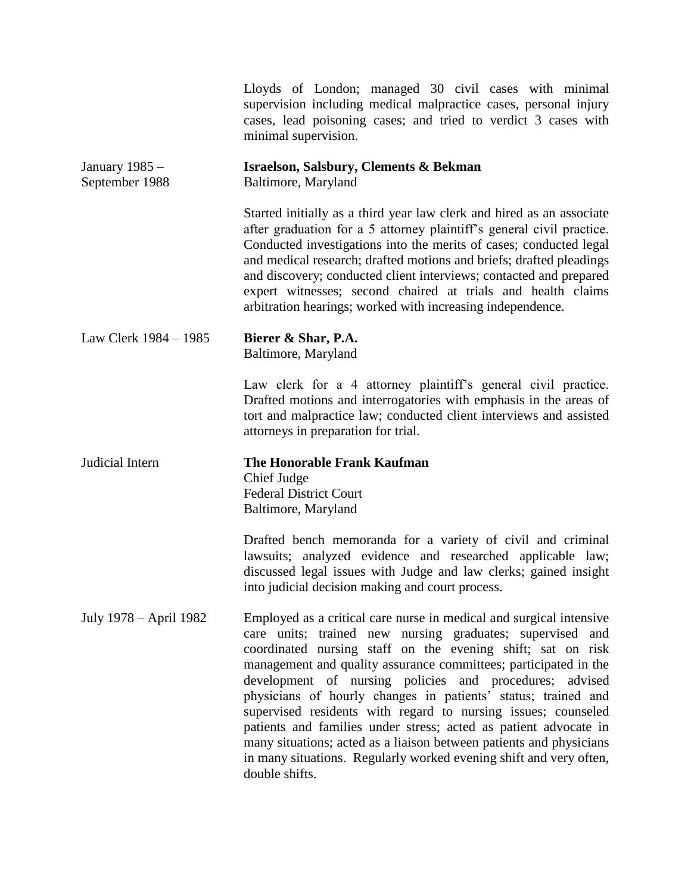|                                  | Lloyds of London; managed 30 civil cases with minimal<br>supervision including medical malpractice cases, personal injury<br>cases, lead poisoning cases; and tried to verdict 3 cases with<br>minimal supervision.                                                                                                                                                                                                                                                                                                                                                                                                                                                                                 |
|----------------------------------|-----------------------------------------------------------------------------------------------------------------------------------------------------------------------------------------------------------------------------------------------------------------------------------------------------------------------------------------------------------------------------------------------------------------------------------------------------------------------------------------------------------------------------------------------------------------------------------------------------------------------------------------------------------------------------------------------------|
| January 1985 –<br>September 1988 | <b>Israelson, Salsbury, Clements &amp; Bekman</b><br>Baltimore, Maryland                                                                                                                                                                                                                                                                                                                                                                                                                                                                                                                                                                                                                            |
|                                  | Started initially as a third year law clerk and hired as an associate<br>after graduation for a 5 attorney plaintiff's general civil practice.<br>Conducted investigations into the merits of cases; conducted legal<br>and medical research; drafted motions and briefs; drafted pleadings<br>and discovery; conducted client interviews; contacted and prepared<br>expert witnesses; second chaired at trials and health claims<br>arbitration hearings; worked with increasing independence.                                                                                                                                                                                                     |
| Law Clerk 1984 – 1985            | Bierer & Shar, P.A.<br>Baltimore, Maryland                                                                                                                                                                                                                                                                                                                                                                                                                                                                                                                                                                                                                                                          |
|                                  | Law clerk for a 4 attorney plaintiff's general civil practice.<br>Drafted motions and interrogatories with emphasis in the areas of<br>tort and malpractice law; conducted client interviews and assisted<br>attorneys in preparation for trial.                                                                                                                                                                                                                                                                                                                                                                                                                                                    |
| Judicial Intern                  | The Honorable Frank Kaufman<br>Chief Judge<br><b>Federal District Court</b><br>Baltimore, Maryland                                                                                                                                                                                                                                                                                                                                                                                                                                                                                                                                                                                                  |
|                                  | Drafted bench memoranda for a variety of civil and criminal<br>lawsuits; analyzed evidence and researched applicable law;<br>discussed legal issues with Judge and law clerks; gained insight<br>into judicial decision making and court process.                                                                                                                                                                                                                                                                                                                                                                                                                                                   |
| July 1978 – April 1982           | Employed as a critical care nurse in medical and surgical intensive<br>care units; trained new nursing graduates; supervised and<br>coordinated nursing staff on the evening shift; sat on risk<br>management and quality assurance committees; participated in the<br>development of nursing policies and procedures; advised<br>physicians of hourly changes in patients' status; trained and<br>supervised residents with regard to nursing issues; counseled<br>patients and families under stress; acted as patient advocate in<br>many situations; acted as a liaison between patients and physicians<br>in many situations. Regularly worked evening shift and very often,<br>double shifts. |